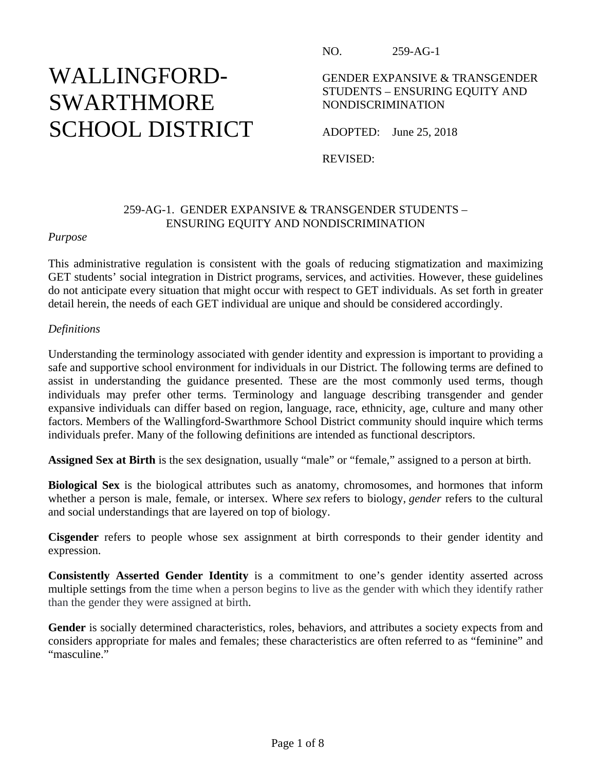# WALLINGFORD-SWARTHMORE SCHOOL DISTRICT

NO. 259-AG-1

GENDER EXPANSIVE & TRANSGENDER STUDENTS – ENSURING EQUITY AND NONDISCRIMINATION

ADOPTED: June 25, 2018

REVISED:

# 259-AG-1. GENDER EXPANSIVE & TRANSGENDER STUDENTS – ENSURING EQUITY AND NONDISCRIMINATION

# *Purpose*

This administrative regulation is consistent with the goals of reducing stigmatization and maximizing GET students' social integration in District programs, services, and activities. However, these guidelines do not anticipate every situation that might occur with respect to GET individuals. As set forth in greater detail herein, the needs of each GET individual are unique and should be considered accordingly.

## *Definitions*

Understanding the terminology associated with gender identity and expression is important to providing a safe and supportive school environment for individuals in our District. The following terms are defined to assist in understanding the guidance presented. These are the most commonly used terms, though individuals may prefer other terms. Terminology and language describing transgender and gender expansive individuals can differ based on region, language, race, ethnicity, age, culture and many other factors. Members of the Wallingford-Swarthmore School District community should inquire which terms individuals prefer. Many of the following definitions are intended as functional descriptors.

**Assigned Sex at Birth** is the sex designation, usually "male" or "female," assigned to a person at birth.

**Biological Sex** is the biological attributes such as anatomy, chromosomes, and hormones that inform whether a person is male, female, or intersex. Where *sex* refers to biology, *gender* refers to the cultural and social understandings that are layered on top of biology.

**Cisgender** refers to people whose sex assignment at birth corresponds to their gender identity and expression.

**Consistently Asserted Gender Identity** is a commitment to one's gender identity asserted across multiple settings from the time when a person begins to live as the gender with which they identify rather than the gender they were assigned at birth.

Gender is socially determined characteristics, roles, behaviors, and attributes a society expects from and considers appropriate for males and females; these characteristics are often referred to as "feminine" and "masculine."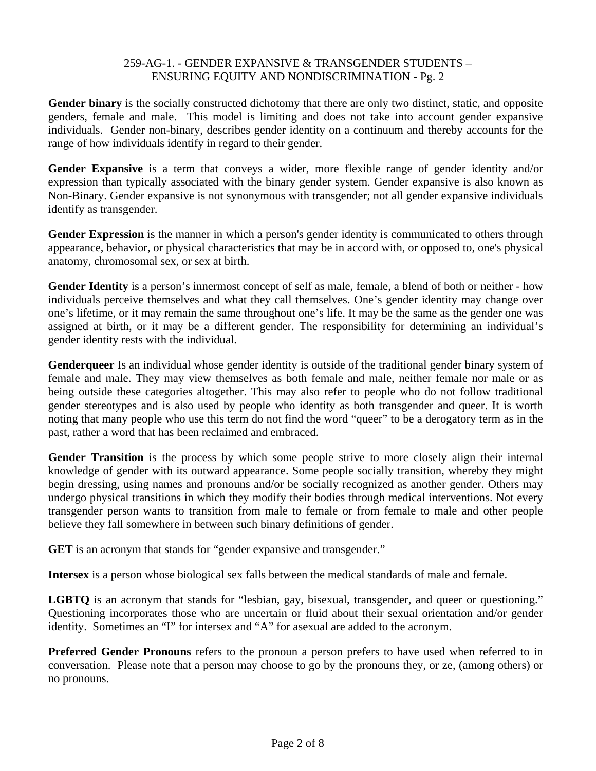**Gender binary** is the socially constructed dichotomy that there are only two distinct, static, and opposite genders, female and male. This model is limiting and does not take into account gender expansive individuals. Gender non-binary, describes gender identity on a continuum and thereby accounts for the range of how individuals identify in regard to their gender.

**Gender Expansive** is a term that conveys a wider, more flexible range of gender identity and/or expression than typically associated with the binary gender system. Gender expansive is also known as Non-Binary. Gender expansive is not synonymous with transgender; not all gender expansive individuals identify as transgender.

**Gender Expression** is the manner in which a person's gender identity is communicated to others through appearance, behavior, or physical characteristics that may be in accord with, or opposed to, one's physical anatomy, chromosomal sex, or sex at birth.

**Gender Identity** is a person's innermost concept of self as male, female, a blend of both or neither - how individuals perceive themselves and what they call themselves. One's gender identity may change over one's lifetime, or it may remain the same throughout one's life. It may be the same as the gender one was assigned at birth, or it may be a different gender. The responsibility for determining an individual's gender identity rests with the individual.

**Genderqueer** Is an individual whose gender identity is outside of the traditional gender binary system of female and male. They may view themselves as both female and male, neither female nor male or as being outside these categories altogether. This may also refer to people who do not follow traditional gender stereotypes and is also used by people who identity as both transgender and queer. It is worth noting that many people who use this term do not find the word "queer" to be a derogatory term as in the past, rather a word that has been reclaimed and embraced.

**Gender Transition** is the process by which some people strive to more closely align their internal knowledge of gender with its outward appearance. Some people socially transition, whereby they might begin dressing, using names and pronouns and/or be socially recognized as another gender. Others may undergo physical transitions in which they modify their bodies through medical interventions. Not every transgender person wants to transition from male to female or from female to male and other people believe they fall somewhere in between such binary definitions of gender.

**GET** is an acronym that stands for "gender expansive and transgender."

**Intersex** is a person whose biological sex falls between the medical standards of male and female.

**LGBTQ** is an acronym that stands for "lesbian, gay, bisexual, transgender, and queer or questioning." Questioning incorporates those who are uncertain or fluid about their sexual orientation and/or gender identity. Sometimes an "I" for intersex and "A" for asexual are added to the acronym.

**Preferred Gender Pronouns** refers to the pronoun a person prefers to have used when referred to in conversation. Please note that a person may choose to go by the pronouns they, or ze, (among others) or no pronouns.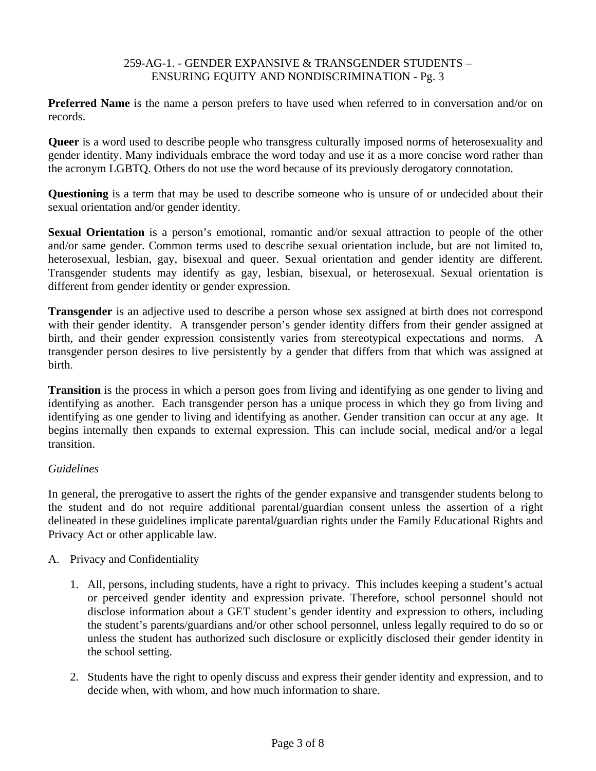**Preferred Name** is the name a person prefers to have used when referred to in conversation and/or on records.

**Queer** is a word used to describe people who transgress culturally imposed norms of heterosexuality and gender identity. Many individuals embrace the word today and use it as a more concise word rather than the acronym LGBTQ. Others do not use the word because of its previously derogatory connotation.

**Questioning** is a term that may be used to describe someone who is unsure of or undecided about their sexual orientation and/or gender identity.

**Sexual Orientation** is a person's emotional, romantic and/or sexual attraction to people of the other and/or same gender. Common terms used to describe sexual orientation include, but are not limited to, heterosexual, lesbian, gay, bisexual and queer. Sexual orientation and gender identity are different. Transgender students may identify as gay, lesbian, bisexual, or heterosexual. Sexual orientation is different from gender identity or gender expression.

**Transgender** is an adjective used to describe a person whose sex assigned at birth does not correspond with their gender identity. A transgender person's gender identity differs from their gender assigned at birth, and their gender expression consistently varies from stereotypical expectations and norms. A transgender person desires to live persistently by a gender that differs from that which was assigned at birth.

**Transition** is the process in which a person goes from living and identifying as one gender to living and identifying as another. Each transgender person has a unique process in which they go from living and identifying as one gender to living and identifying as another. Gender transition can occur at any age. It begins internally then expands to external expression. This can include social, medical and/or a legal transition.

# *Guidelines*

In general, the prerogative to assert the rights of the gender expansive and transgender students belong to the student and do not require additional parental/guardian consent unless the assertion of a right delineated in these guidelines implicate parental**/**guardian rights under the Family Educational Rights and Privacy Act or other applicable law.

# A. Privacy and Confidentiality

- 1. All, persons, including students, have a right to privacy. This includes keeping a student's actual or perceived gender identity and expression private. Therefore, school personnel should not disclose information about a GET student's gender identity and expression to others, including the student's parents/guardians and/or other school personnel, unless legally required to do so or unless the student has authorized such disclosure or explicitly disclosed their gender identity in the school setting.
- 2. Students have the right to openly discuss and express their gender identity and expression, and to decide when, with whom, and how much information to share.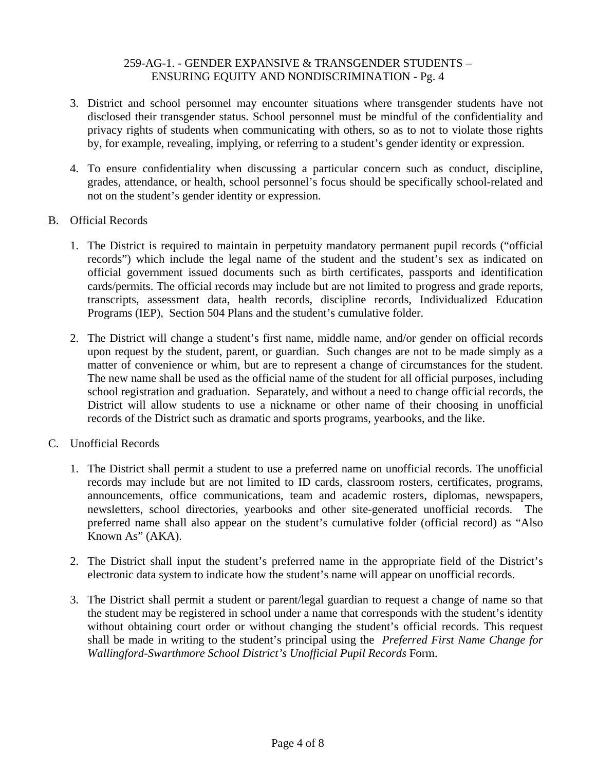- 3. District and school personnel may encounter situations where transgender students have not disclosed their transgender status. School personnel must be mindful of the confidentiality and privacy rights of students when communicating with others, so as to not to violate those rights by, for example, revealing, implying, or referring to a student's gender identity or expression.
- 4. To ensure confidentiality when discussing a particular concern such as conduct, discipline, grades, attendance, or health, school personnel's focus should be specifically school-related and not on the student's gender identity or expression.
- B. Official Records
	- 1. The District is required to maintain in perpetuity mandatory permanent pupil records ("official records") which include the legal name of the student and the student's sex as indicated on official government issued documents such as birth certificates, passports and identification cards/permits. The official records may include but are not limited to progress and grade reports, transcripts, assessment data, health records, discipline records, Individualized Education Programs (IEP), Section 504 Plans and the student's cumulative folder.
	- 2. The District will change a student's first name, middle name, and/or gender on official records upon request by the student, parent, or guardian. Such changes are not to be made simply as a matter of convenience or whim, but are to represent a change of circumstances for the student. The new name shall be used as the official name of the student for all official purposes, including school registration and graduation. Separately, and without a need to change official records, the District will allow students to use a nickname or other name of their choosing in unofficial records of the District such as dramatic and sports programs, yearbooks, and the like.
- C. Unofficial Records
	- 1. The District shall permit a student to use a preferred name on unofficial records. The unofficial records may include but are not limited to ID cards, classroom rosters, certificates, programs, announcements, office communications, team and academic rosters, diplomas, newspapers, newsletters, school directories, yearbooks and other site-generated unofficial records. The preferred name shall also appear on the student's cumulative folder (official record) as "Also Known As" (AKA).
	- 2. The District shall input the student's preferred name in the appropriate field of the District's electronic data system to indicate how the student's name will appear on unofficial records.
	- 3. The District shall permit a student or parent/legal guardian to request a change of name so that the student may be registered in school under a name that corresponds with the student's identity without obtaining court order or without changing the student's official records. This request shall be made in writing to the student's principal using the *Preferred First Name Change for Wallingford-Swarthmore School District's Unofficial Pupil Records* Form.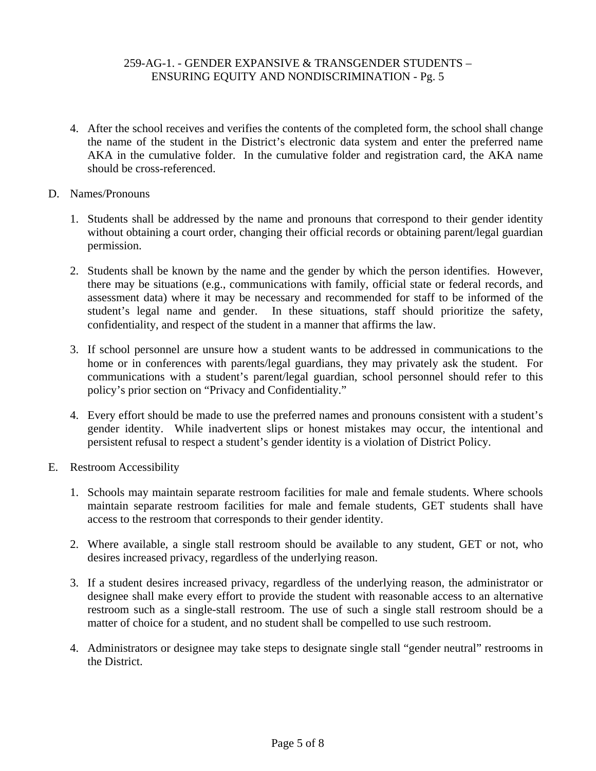- 4. After the school receives and verifies the contents of the completed form, the school shall change the name of the student in the District's electronic data system and enter the preferred name AKA in the cumulative folder. In the cumulative folder and registration card, the AKA name should be cross-referenced.
- D. Names/Pronouns
	- 1. Students shall be addressed by the name and pronouns that correspond to their gender identity without obtaining a court order, changing their official records or obtaining parent/legal guardian permission.
	- 2. Students shall be known by the name and the gender by which the person identifies. However, there may be situations (e.g., communications with family, official state or federal records, and assessment data) where it may be necessary and recommended for staff to be informed of the student's legal name and gender. In these situations, staff should prioritize the safety, confidentiality, and respect of the student in a manner that affirms the law.
	- 3. If school personnel are unsure how a student wants to be addressed in communications to the home or in conferences with parents/legal guardians, they may privately ask the student. For communications with a student's parent/legal guardian, school personnel should refer to this policy's prior section on "Privacy and Confidentiality."
	- 4. Every effort should be made to use the preferred names and pronouns consistent with a student's gender identity. While inadvertent slips or honest mistakes may occur, the intentional and persistent refusal to respect a student's gender identity is a violation of District Policy.
- E. Restroom Accessibility
	- 1. Schools may maintain separate restroom facilities for male and female students. Where schools maintain separate restroom facilities for male and female students, GET students shall have access to the restroom that corresponds to their gender identity.
	- 2. Where available, a single stall restroom should be available to any student, GET or not, who desires increased privacy, regardless of the underlying reason.
	- 3. If a student desires increased privacy, regardless of the underlying reason, the administrator or designee shall make every effort to provide the student with reasonable access to an alternative restroom such as a single-stall restroom. The use of such a single stall restroom should be a matter of choice for a student, and no student shall be compelled to use such restroom.
	- 4. Administrators or designee may take steps to designate single stall "gender neutral" restrooms in the District.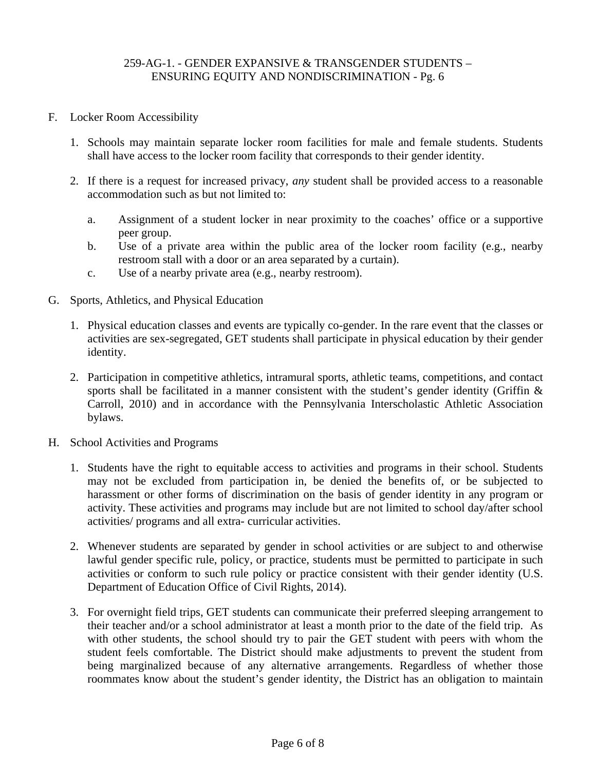- F. Locker Room Accessibility
	- 1. Schools may maintain separate locker room facilities for male and female students. Students shall have access to the locker room facility that corresponds to their gender identity.
	- 2. If there is a request for increased privacy, *any* student shall be provided access to a reasonable accommodation such as but not limited to:
		- a. Assignment of a student locker in near proximity to the coaches' office or a supportive peer group.
		- b. Use of a private area within the public area of the locker room facility (e.g., nearby restroom stall with a door or an area separated by a curtain).
		- c. Use of a nearby private area (e.g., nearby restroom).
- G. Sports, Athletics, and Physical Education
	- 1. Physical education classes and events are typically co-gender. In the rare event that the classes or activities are sex-segregated, GET students shall participate in physical education by their gender identity.
	- 2. Participation in competitive athletics, intramural sports, athletic teams, competitions, and contact sports shall be facilitated in a manner consistent with the student's gender identity (Griffin  $\&$ Carroll, 2010) and in accordance with the Pennsylvania Interscholastic Athletic Association bylaws.
- H. School Activities and Programs
	- 1. Students have the right to equitable access to activities and programs in their school. Students may not be excluded from participation in, be denied the benefits of, or be subjected to harassment or other forms of discrimination on the basis of gender identity in any program or activity. These activities and programs may include but are not limited to school day/after school activities/ programs and all extra- curricular activities.
	- 2. Whenever students are separated by gender in school activities or are subject to and otherwise lawful gender specific rule, policy, or practice, students must be permitted to participate in such activities or conform to such rule policy or practice consistent with their gender identity (U.S. Department of Education Office of Civil Rights, 2014).
	- 3. For overnight field trips, GET students can communicate their preferred sleeping arrangement to their teacher and/or a school administrator at least a month prior to the date of the field trip. As with other students, the school should try to pair the GET student with peers with whom the student feels comfortable. The District should make adjustments to prevent the student from being marginalized because of any alternative arrangements. Regardless of whether those roommates know about the student's gender identity, the District has an obligation to maintain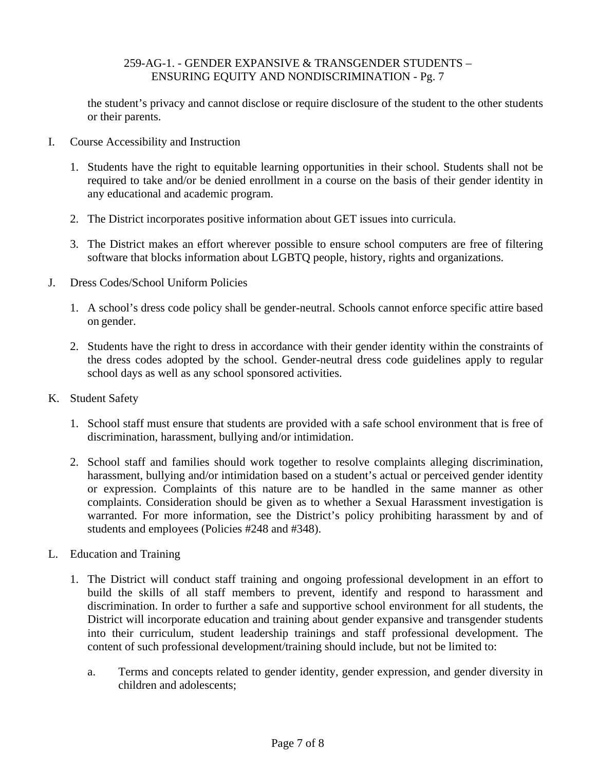the student's privacy and cannot disclose or require disclosure of the student to the other students or their parents.

- I. Course Accessibility and Instruction
	- 1. Students have the right to equitable learning opportunities in their school. Students shall not be required to take and/or be denied enrollment in a course on the basis of their gender identity in any educational and academic program.
	- 2. The District incorporates positive information about GET issues into curricula.
	- 3. The District makes an effort wherever possible to ensure school computers are free of filtering software that blocks information about LGBTQ people, history, rights and organizations.
- J. Dress Codes/School Uniform Policies
	- 1. A school's dress code policy shall be gender-neutral. Schools cannot enforce specific attire based on gender.
	- 2. Students have the right to dress in accordance with their gender identity within the constraints of the dress codes adopted by the school. Gender-neutral dress code guidelines apply to regular school days as well as any school sponsored activities.
- K. Student Safety
	- 1. School staff must ensure that students are provided with a safe school environment that is free of discrimination, harassment, bullying and/or intimidation.
	- 2. School staff and families should work together to resolve complaints alleging discrimination, harassment, bullying and/or intimidation based on a student's actual or perceived gender identity or expression. Complaints of this nature are to be handled in the same manner as other complaints. Consideration should be given as to whether a Sexual Harassment investigation is warranted. For more information, see the District's policy prohibiting harassment by and of students and employees (Policies #248 and #348).
- L. Education and Training
	- 1. The District will conduct staff training and ongoing professional development in an effort to build the skills of all staff members to prevent, identify and respond to harassment and discrimination. In order to further a safe and supportive school environment for all students, the District will incorporate education and training about gender expansive and transgender students into their curriculum, student leadership trainings and staff professional development. The content of such professional development/training should include, but not be limited to:
		- a. Terms and concepts related to gender identity, gender expression, and gender diversity in children and adolescents;